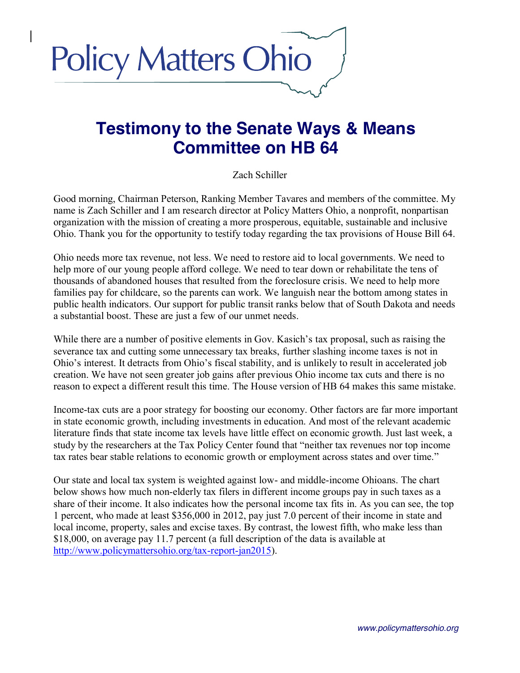

# **Testimony to the Senate Ways & Means Committee on HB 64**

## Zach Schiller

Good morning, Chairman Peterson, Ranking Member Tavares and members of the committee. My name is Zach Schiller and I am research director at Policy Matters Ohio, a nonprofit, nonpartisan organization with the mission of creating a more prosperous, equitable, sustainable and inclusive Ohio. Thank you for the opportunity to testify today regarding the tax provisions of House Bill 64.

Ohio needs more tax revenue, not less. We need to restore aid to local governments. We need to help more of our young people afford college. We need to tear down or rehabilitate the tens of thousands of abandoned houses that resulted from the foreclosure crisis. We need to help more families pay for childcare, so the parents can work. We languish near the bottom among states in public health indicators. Our support for public transit ranks below that of South Dakota and needs a substantial boost. These are just a few of our unmet needs.

While there are a number of positive elements in Gov. Kasich's tax proposal, such as raising the severance tax and cutting some unnecessary tax breaks, further slashing income taxes is not in Ohio's interest. It detracts from Ohio's fiscal stability, and is unlikely to result in accelerated job creation. We have not seen greater job gains after previous Ohio income tax cuts and there is no reason to expect a different result this time. The House version of HB 64 makes this same mistake.

Income-tax cuts are a poor strategy for boosting our economy. Other factors are far more important in state economic growth, including investments in education. And most of the relevant academic literature finds that state income tax levels have little effect on economic growth. Just last week, a study by the researchers at the Tax Policy Center found that "neither tax revenues nor top income tax rates bear stable relations to economic growth or employment across states and over time."

Our state and local tax system is weighted against low- and middle-income Ohioans. The chart below shows how much non-elderly tax filers in different income groups pay in such taxes as a share of their income. It also indicates how the personal income tax fits in. As you can see, the top 1 percent, who made at least \$356,000 in 2012, pay just 7.0 percent of their income in state and local income, property, sales and excise taxes. By contrast, the lowest fifth, who make less than \$18,000, on average pay 11.7 percent (a full description of the data is available at [http://www.policymattersohio.org/tax-report-jan2015\)](http://www.policymattersohio.org/tax-report-jan2015).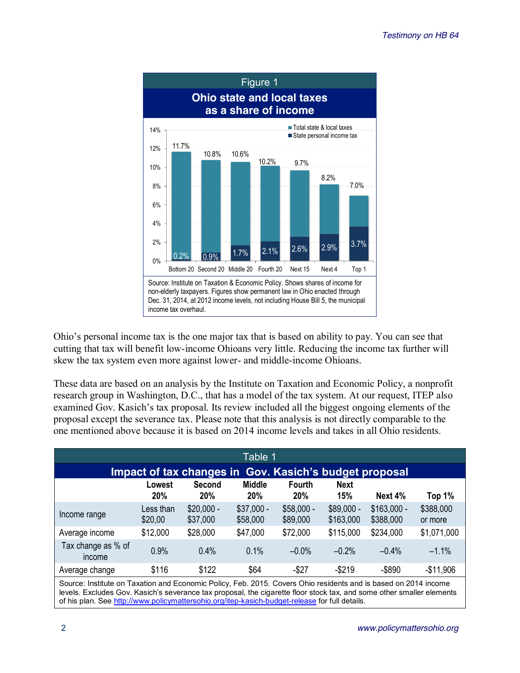

Ohio's personal income tax is the one major tax that is based on ability to pay. You can see that cutting that tax will benefit low-income Ohioans very little. Reducing the income tax further will skew the tax system even more against lower- and middle-income Ohioans.

These data are based on an analysis by the Institute on Taxation and Economic Policy, a nonprofit research group in Washington, D.C., that has a model of the tax system. At our request, ITEP also examined Gov. Kasich's tax proposal. Its review included all the biggest ongoing elements of the proposal except the severance tax. Please note that this analysis is not directly comparable to the one mentioned above because it is based on 2014 income levels and takes in all Ohio residents.

| Table 1                                                   |                      |                         |                             |                             |                          |                           |                      |  |  |  |  |
|-----------------------------------------------------------|----------------------|-------------------------|-----------------------------|-----------------------------|--------------------------|---------------------------|----------------------|--|--|--|--|
| Gov. Kasich's budget proposal<br>Impact of tax changes in |                      |                         |                             |                             |                          |                           |                      |  |  |  |  |
|                                                           | Lowest<br><b>20%</b> | <b>Second</b><br>20%    | <b>Middle</b><br><b>20%</b> | <b>Fourth</b><br><b>20%</b> | <b>Next</b><br>15%       | Next 4%                   | Top 1%               |  |  |  |  |
| Income range                                              | Less than<br>\$20,00 | $$20,000 -$<br>\$37,000 | $$37,000 -$<br>\$58,000     | $$58,000 -$<br>\$89,000     | $$89,000 -$<br>\$163,000 | $$163,000 -$<br>\$388,000 | \$388,000<br>or more |  |  |  |  |
| Average income                                            | \$12,000             | \$28,000                | \$47,000                    | \$72,000                    | \$115,000                | \$234,000                 | \$1,071,000          |  |  |  |  |
| Tax change as % of<br>income                              | 0.9%                 | 0.4%                    | 0.1%                        | $-0.0%$                     | $-0.2%$                  | $-0.4%$                   | $-1.1%$              |  |  |  |  |
| Average change                                            | \$116                | \$122                   | \$64                        | $-$ \$27                    | $-$219$                  | $-$ \$890                 | $-$11,906$           |  |  |  |  |

Source: Institute on Taxation and Economic Policy, Feb. 2015. Covers Ohio residents and is based on 2014 income levels. Excludes Gov. Kasich's severance tax proposal, the cigarette floor stock tax, and some other smaller elements of his plan. See<http://www.policymattersohio.org/itep-kasich-budget-release> for full details.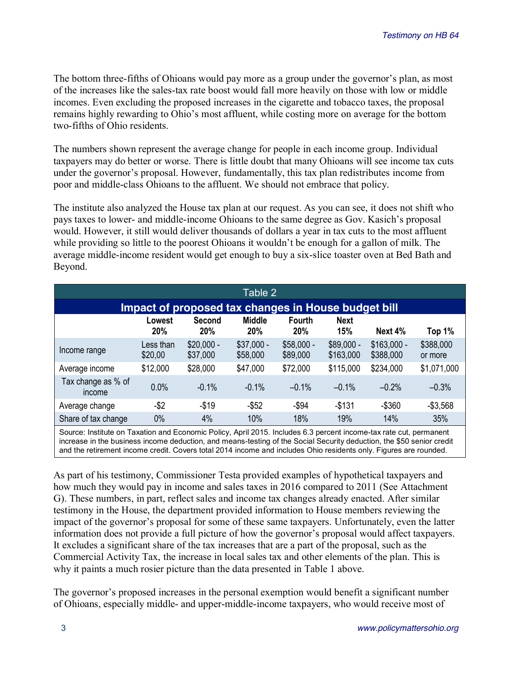The bottom three-fifths of Ohioans would pay more as a group under the governor's plan, as most of the increases like the sales-tax rate boost would fall more heavily on those with low or middle incomes. Even excluding the proposed increases in the cigarette and tobacco taxes, the proposal remains highly rewarding to Ohio's most affluent, while costing more on average for the bottom two-fifths of Ohio residents.

The numbers shown represent the average change for people in each income group. Individual taxpayers may do better or worse. There is little doubt that many Ohioans will see income tax cuts under the governor's proposal. However, fundamentally, this tax plan redistributes income from poor and middle-class Ohioans to the affluent. We should not embrace that policy.

The institute also analyzed the House tax plan at our request. As you can see, it does not shift who pays taxes to lower- and middle-income Ohioans to the same degree as Gov. Kasich's proposal would. However, it still would deliver thousands of dollars a year in tax cuts to the most affluent while providing so little to the poorest Ohioans it wouldn't be enough for a gallon of milk. The average middle-income resident would get enough to buy a six-slice toaster oven at Bed Bath and Beyond.

| Table 2                                             |                      |                         |                         |                             |                          |                           |                      |  |  |  |  |
|-----------------------------------------------------|----------------------|-------------------------|-------------------------|-----------------------------|--------------------------|---------------------------|----------------------|--|--|--|--|
| Impact of proposed tax changes in House budget bill |                      |                         |                         |                             |                          |                           |                      |  |  |  |  |
|                                                     | Lowest<br>20%        | Second<br>20%           | <b>Middle</b><br>20%    | <b>Fourth</b><br><b>20%</b> | <b>Next</b><br>15%       | Next $4%$                 | Top 1%               |  |  |  |  |
| Income range                                        | Less than<br>\$20,00 | $$20,000 -$<br>\$37,000 | $$37,000 -$<br>\$58,000 | $$58,000 -$<br>\$89,000     | $$89,000 -$<br>\$163,000 | $$163,000 -$<br>\$388,000 | \$388,000<br>or more |  |  |  |  |
| Average income                                      | \$12,000             | \$28,000                | \$47,000                | \$72,000                    | \$115,000                | \$234,000                 | \$1,071,000          |  |  |  |  |
| Tax change as % of<br>income                        | 0.0%                 | $-0.1\%$                | $-0.1%$                 | $-0.1%$                     | $-0.1%$                  | $-0.2%$                   | $-0.3%$              |  |  |  |  |
| Average change                                      | $-$ \$2              | $-$19$                  | $-$ \$52                | $-$ \$94                    | $-$131$                  | $-$360$                   | $-$3,568$            |  |  |  |  |
| Share of tax change                                 | $0\%$                | 4%                      | 10%                     | 18%                         | 19%                      | 14%                       | 35%                  |  |  |  |  |

Source: Institute on Taxation and Economic Policy, April 2015. Includes 6.3 percent income-tax rate cut, permanent increase in the business income deduction, and means-testing of the Social Security deduction, the \$50 senior credit and the retirement income credit. Covers total 2014 income and includes Ohio residents only. Figures are rounded.

As part of his testimony, Commissioner Testa provided examples of hypothetical taxpayers and how much they would pay in income and sales taxes in 2016 compared to 2011 (See Attachment G). These numbers, in part, reflect sales and income tax changes already enacted. After similar testimony in the House, the department provided information to House members reviewing the impact of the governor's proposal for some of these same taxpayers. Unfortunately, even the latter information does not provide a full picture of how the governor's proposal would affect taxpayers. It excludes a significant share of the tax increases that are a part of the proposal, such as the Commercial Activity Tax, the increase in local sales tax and other elements of the plan. This is why it paints a much rosier picture than the data presented in Table 1 above.

The governor's proposed increases in the personal exemption would benefit a significant number of Ohioans, especially middle- and upper-middle-income taxpayers, who would receive most of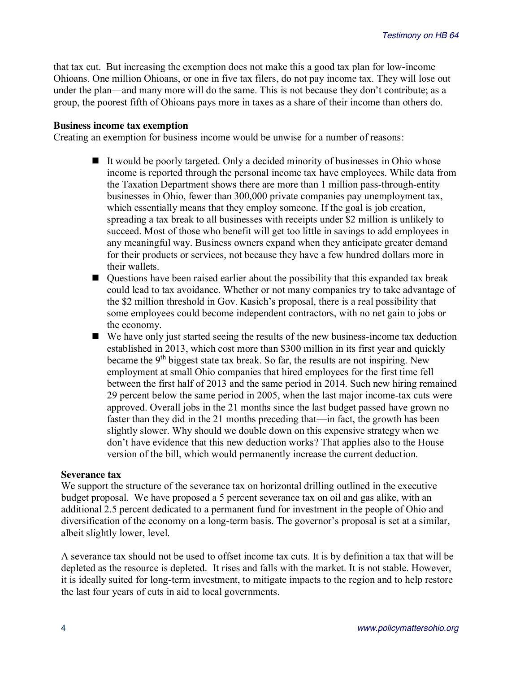that tax cut. But increasing the exemption does not make this a good tax plan for low-income Ohioans. One million Ohioans, or one in five tax filers, do not pay income tax. They will lose out under the plan—and many more will do the same. This is not because they don't contribute; as a group, the poorest fifth of Ohioans pays more in taxes as a share of their income than others do.

#### **Business income tax exemption**

Creating an exemption for business income would be unwise for a number of reasons:

- $\blacksquare$  It would be poorly targeted. Only a decided minority of businesses in Ohio whose income is reported through the personal income tax have employees. While data from the Taxation Department shows there are more than 1 million pass-through-entity businesses in Ohio, fewer than 300,000 private companies pay unemployment tax, which essentially means that they employ someone. If the goal is job creation, spreading a tax break to all businesses with receipts under \$2 million is unlikely to succeed. Most of those who benefit will get too little in savings to add employees in any meaningful way. Business owners expand when they anticipate greater demand for their products or services, not because they have a few hundred dollars more in their wallets.
- $\blacksquare$  Questions have been raised earlier about the possibility that this expanded tax break could lead to tax avoidance. Whether or not many companies try to take advantage of the \$2 million threshold in Gov. Kasich's proposal, there is a real possibility that some employees could become independent contractors, with no net gain to jobs or the economy.
- $\blacksquare$  We have only just started seeing the results of the new business-income tax deduction established in 2013, which cost more than \$300 million in its first year and quickly became the 9<sup>th</sup> biggest state tax break. So far, the results are not inspiring. New employment at small Ohio companies that hired employees for the first time fell between the first half of 2013 and the same period in 2014. Such new hiring remained 29 percent below the same period in 2005, when the last major income-tax cuts were approved. Overall jobs in the 21 months since the last budget passed have grown no faster than they did in the 21 months preceding that—in fact, the growth has been slightly slower. Why should we double down on this expensive strategy when we don't have evidence that this new deduction works? That applies also to the House version of the bill, which would permanently increase the current deduction.

### **Severance tax**

We support the structure of the severance tax on horizontal drilling outlined in the executive budget proposal. We have proposed a 5 percent severance tax on oil and gas alike, with an additional 2.5 percent dedicated to a permanent fund for investment in the people of Ohio and diversification of the economy on a long-term basis. The governor's proposal is set at a similar, albeit slightly lower, level.

A severance tax should not be used to offset income tax cuts. It is by definition a tax that will be depleted as the resource is depleted. It rises and falls with the market. It is not stable. However, it is ideally suited for long-term investment, to mitigate impacts to the region and to help restore the last four years of cuts in aid to local governments.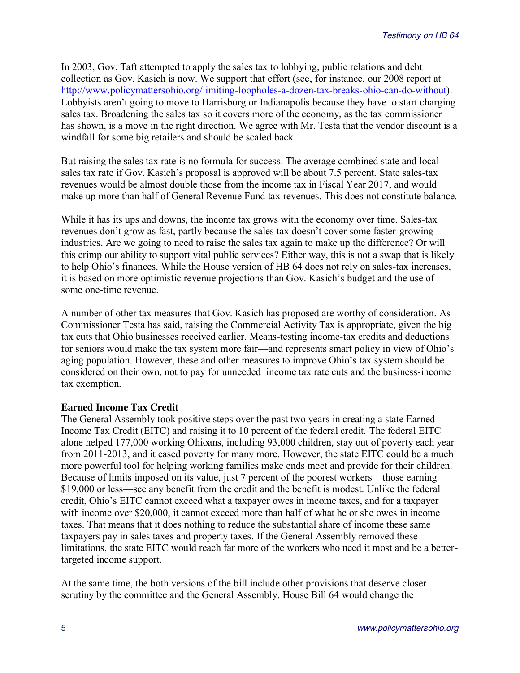In 2003, Gov. Taft attempted to apply the sales tax to lobbying, public relations and debt collection as Gov. Kasich is now. We support that effort (see, for instance, our 2008 report at [http://www.policymattersohio.org/limiting-loopholes-a-dozen-tax-breaks-ohio-can-do-without\)](http://www.policymattersohio.org/limiting-loopholes-a-dozen-tax-breaks-ohio-can-do-without). Lobbyists aren't going to move to Harrisburg or Indianapolis because they have to start charging sales tax. Broadening the sales tax so it covers more of the economy, as the tax commissioner has shown, is a move in the right direction. We agree with Mr. Testa that the vendor discount is a windfall for some big retailers and should be scaled back.

But raising the sales tax rate is no formula for success. The average combined state and local sales tax rate if Gov. Kasich's proposal is approved will be about 7.5 percent. State sales-tax revenues would be almost double those from the income tax in Fiscal Year 2017, and would make up more than half of General Revenue Fund tax revenues. This does not constitute balance.

While it has its ups and downs, the income tax grows with the economy over time. Sales-tax revenues don't grow as fast, partly because the sales tax doesn't cover some faster-growing industries. Are we going to need to raise the sales tax again to make up the difference? Or will this crimp our ability to support vital public services? Either way, this is not a swap that is likely to help Ohio's finances. While the House version of HB 64 does not rely on sales-tax increases, it is based on more optimistic revenue projections than Gov. Kasich's budget and the use of some one-time revenue.

A number of other tax measures that Gov. Kasich has proposed are worthy of consideration. As Commissioner Testa has said, raising the Commercial Activity Tax is appropriate, given the big tax cuts that Ohio businesses received earlier. Means-testing income-tax credits and deductions for seniors would make the tax system more fair—and represents smart policy in view of Ohio's aging population. However, these and other measures to improve Ohio's tax system should be considered on their own, not to pay for unneeded income tax rate cuts and the business-income tax exemption.

## **Earned Income Tax Credit**

The General Assembly took positive steps over the past two years in creating a state Earned Income Tax Credit (EITC) and raising it to 10 percent of the federal credit. The federal EITC alone helped 177,000 working Ohioans, including 93,000 children, stay out of poverty each year from 2011-2013, and it eased poverty for many more. However, the state EITC could be a much more powerful tool for helping working families make ends meet and provide for their children. Because of limits imposed on its value, just 7 percent of the poorest workers—those earning \$19,000 or less—see any benefit from the credit and the benefit is modest. Unlike the federal credit, Ohio's EITC cannot exceed what a taxpayer owes in income taxes, and for a taxpayer with income over \$20,000, it cannot exceed more than half of what he or she owes in income taxes. That means that it does nothing to reduce the substantial share of income these same taxpayers pay in sales taxes and property taxes. If the General Assembly removed these limitations, the state EITC would reach far more of the workers who need it most and be a bettertargeted income support.

At the same time, the both versions of the bill include other provisions that deserve closer scrutiny by the committee and the General Assembly. House Bill 64 would change the